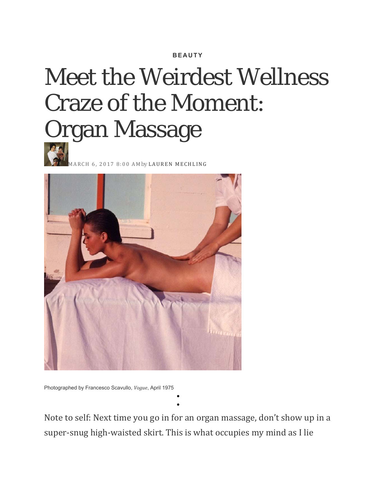## **BEAUTY**

## Meet the Weirdest Wellness Craze of the Moment: Organ Massage



MARCH 6, 2017 8:00 AM*by* LAUREN MECHLING 



Photographed by Francesco Scavullo, *Vogue*, April 1975

Note to self: Next time you go in for an organ massage, don't show up in a super-snug high-waisted skirt. This is what occupies my mind as I lie

 $\bullet$  $\bullet$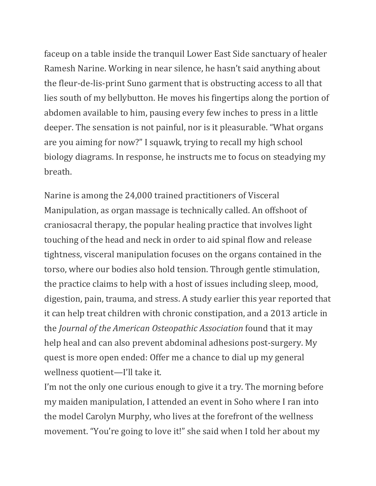faceup on a table inside the tranquil Lower East Side sanctuary of healer Ramesh Narine. Working in near silence, he hasn't said anything about the fleur-de-lis-print Suno garment that is obstructing access to all that lies south of my bellybutton. He moves his fingertips along the portion of abdomen available to him, pausing every few inches to press in a little deeper. The sensation is not painful, nor is it pleasurable. "What organs are you aiming for now?" I squawk, trying to recall my high school biology diagrams. In response, he instructs me to focus on steadying my breath. 

Narine is among the 24,000 trained practitioners of Visceral Manipulation, as organ massage is technically called. An offshoot of craniosacral therapy, the popular healing practice that involves light touching of the head and neck in order to aid spinal flow and release tightness, visceral manipulation focuses on the organs contained in the torso, where our bodies also hold tension. Through gentle stimulation, the practice claims to help with a host of issues including sleep, mood, digestion, pain, trauma, and stress. A study earlier this year reported that it can help treat children with chronic constipation, and a 2013 article in the *Journal of the American Osteopathic Association* found that it may help heal and can also prevent abdominal adhesions post-surgery. My quest is more open ended: Offer me a chance to dial up my general wellness quotient—I'll take it.

I'm not the only one curious enough to give it a try. The morning before my maiden manipulation, I attended an event in Soho where I ran into the model Carolyn Murphy, who lives at the forefront of the wellness movement. "You're going to love it!" she said when I told her about my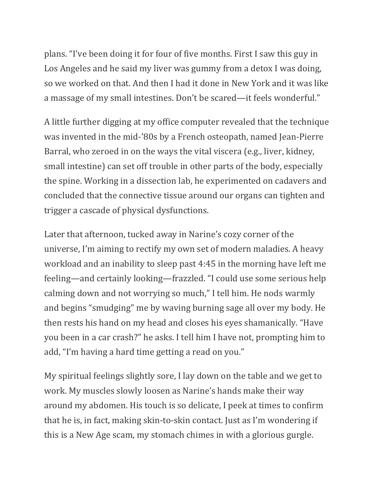plans. "I've been doing it for four of five months. First I saw this guy in Los Angeles and he said my liver was gummy from a detox I was doing, so we worked on that. And then I had it done in New York and it was like a massage of my small intestines. Don't be scared—it feels wonderful."

A little further digging at my office computer revealed that the technique was invented in the mid-'80s by a French osteopath, named Jean-Pierre Barral, who zeroed in on the ways the vital viscera (e.g., liver, kidney, small intestine) can set off trouble in other parts of the body, especially the spine. Working in a dissection lab, he experimented on cadavers and concluded that the connective tissue around our organs can tighten and trigger a cascade of physical dysfunctions.

Later that afternoon, tucked away in Narine's cozy corner of the universe, I'm aiming to rectify my own set of modern maladies. A heavy workload and an inability to sleep past 4:45 in the morning have left me feeling—and certainly looking—frazzled. "I could use some serious help calming down and not worrying so much," I tell him. He nods warmly and begins "smudging" me by waving burning sage all over my body. He then rests his hand on my head and closes his eyes shamanically. "Have you been in a car crash?" he asks. I tell him I have not, prompting him to add, "I'm having a hard time getting a read on you."

My spiritual feelings slightly sore, I lay down on the table and we get to work. My muscles slowly loosen as Narine's hands make their way around my abdomen. His touch is so delicate, I peek at times to confirm that he is, in fact, making skin-to-skin contact. Just as I'm wondering if this is a New Age scam, my stomach chimes in with a glorious gurgle.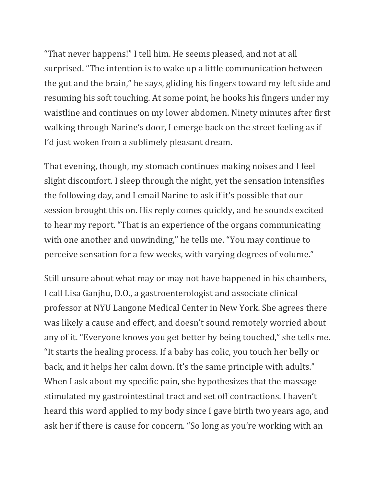"That never happens!" I tell him. He seems pleased, and not at all surprised. "The intention is to wake up a little communication between the gut and the brain," he says, gliding his fingers toward my left side and resuming his soft touching. At some point, he hooks his fingers under my waistline and continues on my lower abdomen. Ninety minutes after first walking through Narine's door, I emerge back on the street feeling as if I'd just woken from a sublimely pleasant dream.

That evening, though, my stomach continues making noises and I feel slight discomfort. I sleep through the night, yet the sensation intensifies the following day, and I email Narine to ask if it's possible that our session brought this on. His reply comes quickly, and he sounds excited to hear my report. "That is an experience of the organs communicating with one another and unwinding," he tells me. "You may continue to perceive sensation for a few weeks, with varying degrees of volume."

Still unsure about what may or may not have happened in his chambers, I call Lisa Ganjhu, D.O., a gastroenterologist and associate clinical professor at NYU Langone Medical Center in New York. She agrees there was likely a cause and effect, and doesn't sound remotely worried about any of it. "Everyone knows you get better by being touched," she tells me. "It starts the healing process. If a baby has colic, you touch her belly or back, and it helps her calm down. It's the same principle with adults." When I ask about my specific pain, she hypothesizes that the massage stimulated my gastrointestinal tract and set off contractions. I haven't heard this word applied to my body since I gave birth two years ago, and ask her if there is cause for concern. "So long as you're working with an